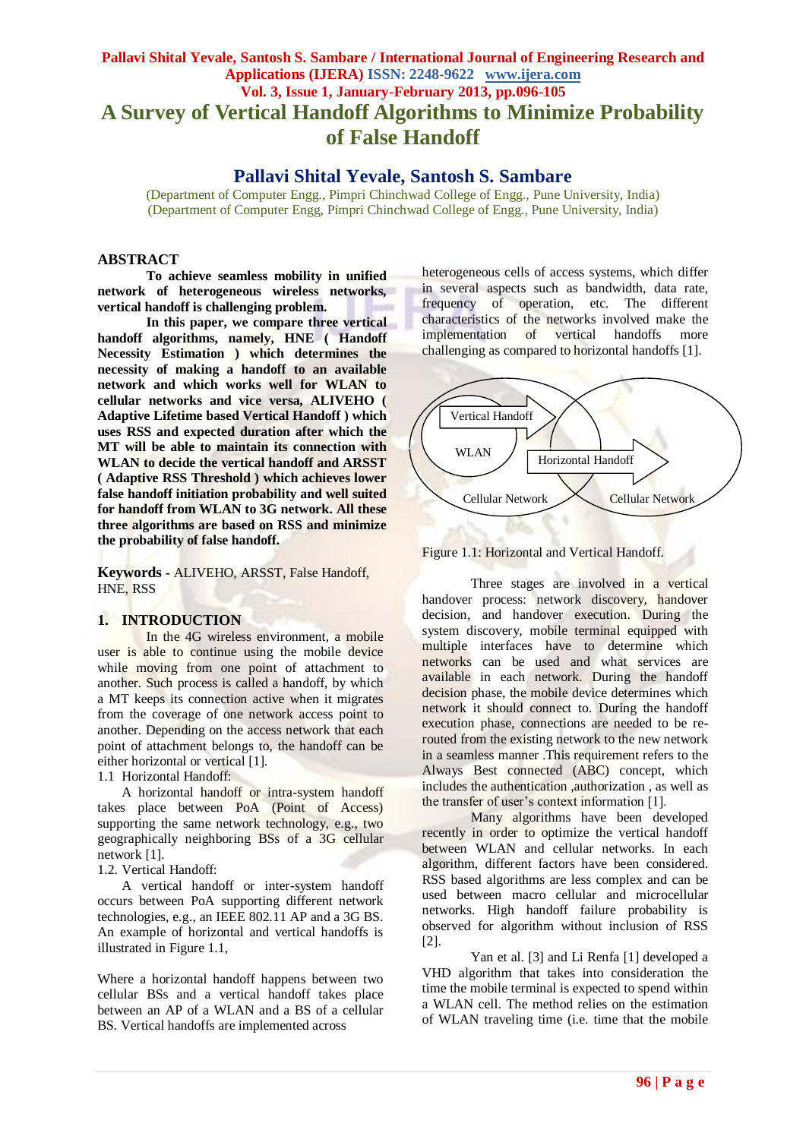# **Pallavi Shital Yevale, Santosh S. Sambare / International Journal of Engineering Research and Applications (IJERA) ISSN: 2248-9622 www.ijera.com Vol. 3, Issue 1, January-February 2013, pp.096-105 A Survey of Vertical Handoff Algorithms to Minimize Probability of False Handoff**

# **Pallavi Shital Yevale, Santosh S. Sambare**

(Department of Computer Engg., Pimpri Chinchwad College of Engg., Pune University, India) (Department of Computer Engg, Pimpri Chinchwad College of Engg., Pune University, India)

# **ABSTRACT**

**To achieve seamless mobility in unified network of heterogeneous wireless networks, vertical handoff is challenging problem.** 

**In this paper, we compare three vertical handoff algorithms, namely, HNE ( Handoff Necessity Estimation ) which determines the necessity of making a handoff to an available network and which works well for WLAN to cellular networks and vice versa, ALIVEHO ( Adaptive Lifetime based Vertical Handoff ) which uses RSS and expected duration after which the MT will be able to maintain its connection with WLAN to decide the vertical handoff and ARSST ( Adaptive RSS Threshold ) which achieves lower false handoff initiation probability and well suited for handoff from WLAN to 3G network. All these three algorithms are based on RSS and minimize the probability of false handoff.**

**Keywords -** ALIVEHO, ARSST, False Handoff, HNE, RSS

## **1. INTRODUCTION**

In the 4G wireless environment, a mobile user is able to continue using the mobile device while moving from one point of attachment to another. Such process is called a handoff, by which a MT keeps its connection active when it migrates from the coverage of one network access point to another. Depending on the access network that each point of attachment belongs to, the handoff can be either horizontal or vertical [1].

1.1 Horizontal Handoff:

A horizontal handoff or intra-system handoff takes place between PoA (Point of Access) supporting the same network technology, e.g., two geographically neighboring BSs of a 3G cellular network [1].

1.2. Vertical Handoff:

A vertical handoff or inter-system handoff occurs between PoA supporting different network technologies, e.g., an IEEE 802.11 AP and a 3G BS. An example of horizontal and vertical handoffs is illustrated in Figure 1.1,

Where a horizontal handoff happens between two cellular BSs and a vertical handoff takes place between an AP of a WLAN and a BS of a cellular BS. Vertical handoffs are implemented across

heterogeneous cells of access systems, which differ in several aspects such as bandwidth, data rate, frequency of operation, etc. The different characteristics of the networks involved make the implementation of vertical handoffs more challenging as compared to horizontal handoffs [1].



Figure 1.1: Horizontal and Vertical Handoff.

Three stages are involved in a vertical handover process: network discovery, handover decision, and handover execution. During the system discovery, mobile terminal equipped with multiple interfaces have to determine which networks can be used and what services are available in each network. During the handoff decision phase, the mobile device determines which network it should connect to. During the handoff execution phase, connections are needed to be rerouted from the existing network to the new network in a seamless manner .This requirement refers to the Always Best connected (ABC) concept, which includes the authentication ,authorization , as well as the transfer of user's context information [1].

Many algorithms have been developed recently in order to optimize the vertical handoff between WLAN and cellular networks. In each algorithm, different factors have been considered. RSS based algorithms are less complex and can be used between macro cellular and microcellular networks. High handoff failure probability is observed for algorithm without inclusion of RSS [2].

Yan et al. [3] and Li Renfa [1] developed a VHD algorithm that takes into consideration the time the mobile terminal is expected to spend within a WLAN cell. The method relies on the estimation of WLAN traveling time (i.e. time that the mobile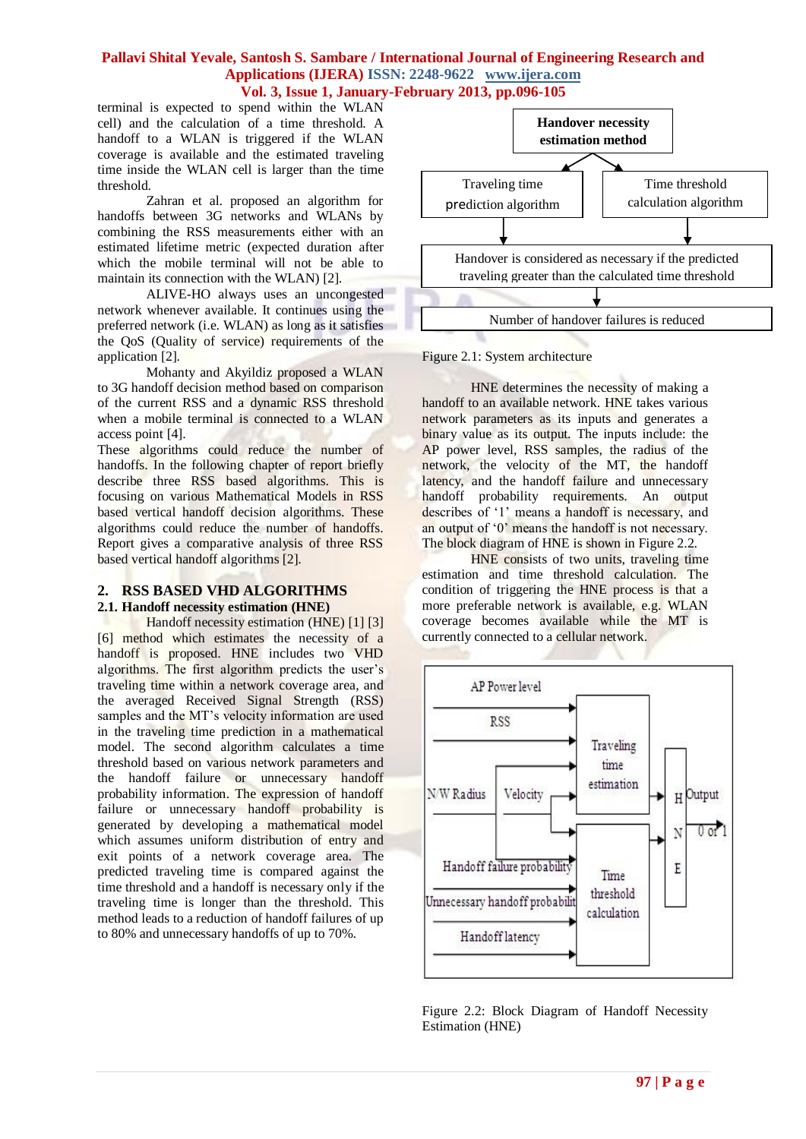terminal is expected to spend within the WLAN cell) and the calculation of a time threshold. A handoff to a WLAN is triggered if the WLAN coverage is available and the estimated traveling time inside the WLAN cell is larger than the time threshold.

Zahran et al. proposed an algorithm for handoffs between 3G networks and WLANs by combining the RSS measurements either with an estimated lifetime metric (expected duration after which the mobile terminal will not be able to maintain its connection with the WLAN) [2].

ALIVE-HO always uses an uncongested network whenever available. It continues using the preferred network (i.e. WLAN) as long as it satisfies the QoS (Quality of service) requirements of the application [2].

Mohanty and Akyildiz proposed a WLAN to 3G handoff decision method based on comparison of the current RSS and a dynamic RSS threshold when a mobile terminal is connected to a WLAN access point [4].

These algorithms could reduce the number of handoffs. In the following chapter of report briefly describe three RSS based algorithms. This is focusing on various Mathematical Models in RSS based vertical handoff decision algorithms. These algorithms could reduce the number of handoffs. Report gives a comparative analysis of three RSS based vertical handoff algorithms [2].

#### **2. RSS BASED VHD ALGORITHMS 2.1. Handoff necessity estimation (HNE)**

Handoff necessity estimation (HNE) [1] [3] [6] method which estimates the necessity of a handoff is proposed. HNE includes two VHD algorithms. The first algorithm predicts the user's traveling time within a network coverage area, and the averaged Received Signal Strength (RSS) samples and the MT's velocity information are used in the traveling time prediction in a mathematical model. The second algorithm calculates a time threshold based on various network parameters and the handoff failure or unnecessary handoff probability information. The expression of handoff failure or unnecessary handoff probability is generated by developing a mathematical model which assumes uniform distribution of entry and exit points of a network coverage area. The predicted traveling time is compared against the time threshold and a handoff is necessary only if the traveling time is longer than the threshold. This method leads to a reduction of handoff failures of up to 80% and unnecessary handoffs of up to 70%.



Figure 2.1: System architecture

HNE determines the necessity of making a handoff to an available network. HNE takes various network parameters as its inputs and generates a binary value as its output. The inputs include: the AP power level, RSS samples, the radius of the network, the velocity of the MT, the handoff latency, and the handoff failure and unnecessary handoff probability requirements. An output describes of '1' means a handoff is necessary, and an output of "0" means the handoff is not necessary. The block diagram of HNE is shown in Figure 2.2.

HNE consists of two units, traveling time estimation and time threshold calculation. The condition of triggering the HNE process is that a more preferable network is available, e.g. WLAN coverage becomes available while the MT is currently connected to a cellular network.



Figure 2.2: Block Diagram of Handoff Necessity Estimation (HNE)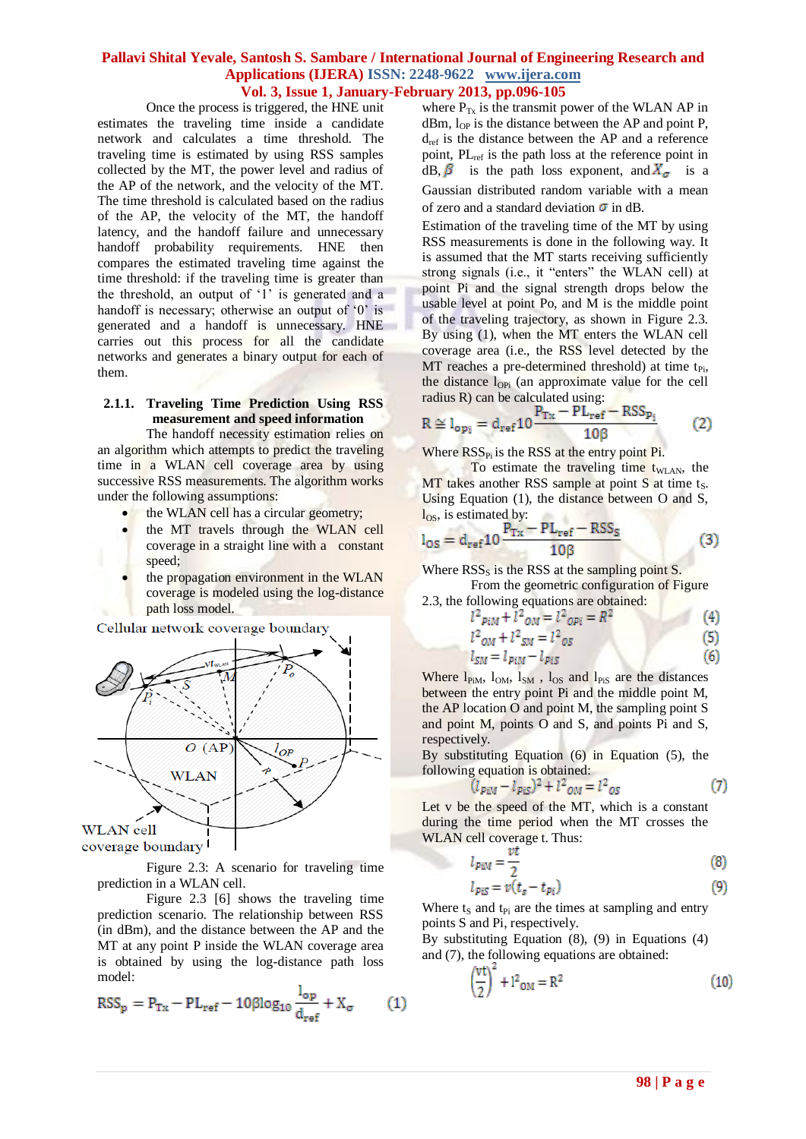Once the process is triggered, the HNE unit estimates the traveling time inside a candidate network and calculates a time threshold. The traveling time is estimated by using RSS samples collected by the MT, the power level and radius of the AP of the network, and the velocity of the MT. The time threshold is calculated based on the radius of the AP, the velocity of the MT, the handoff latency, and the handoff failure and unnecessary handoff probability requirements. HNE then compares the estimated traveling time against the time threshold: if the traveling time is greater than the threshold, an output of "1" is generated and a handoff is necessary; otherwise an output of '0' is generated and a handoff is unnecessary. HNE carries out this process for all the candidate networks and generates a binary output for each of them.

# **2.1.1. Traveling Time Prediction Using RSS measurement and speed information**

The handoff necessity estimation relies on an algorithm which attempts to predict the traveling time in a WLAN cell coverage area by using successive RSS measurements. The algorithm works under the following assumptions:

- the WLAN cell has a circular geometry;
- the MT travels through the WLAN cell coverage in a straight line with a constant speed;
- the propagation environment in the WLAN coverage is modeled using the log-distance path loss model.

Cellular network coverage boundary



coverage boundary

Figure 2.3: A scenario for traveling time prediction in a WLAN cell.

Figure 2.3 [6] shows the traveling time prediction scenario. The relationship between RSS (in dBm), and the distance between the AP and the MT at any point P inside the WLAN coverage area is obtained by using the log-distance path loss model:

$$
RSS_p = P_{Tx} - PL_{ref} - 10\beta \log_{10} \frac{l_{op}}{d_{ref}} + X_{\sigma}
$$
 (1)

where  $P_{Tx}$  is the transmit power of the WLAN AP in dBm,  $l_{OP}$  is the distance between the AP and point P,  $d_{ref}$  is the distance between the AP and a reference point, PL<sub>ref</sub> is the path loss at the reference point in dB,  $\beta$  is the path loss exponent, and  $X_{\sigma}$  is a Gaussian distributed random variable with a mean of zero and a standard deviation  $\sigma$  in dB.

Estimation of the traveling time of the MT by using RSS measurements is done in the following way. It is assumed that the MT starts receiving sufficiently strong signals (i.e., it "enters" the WLAN cell) at point Pi and the signal strength drops below the usable level at point Po, and M is the middle point of the traveling trajectory, as shown in Figure 2.3. By using (1), when the MT enters the WLAN cell coverage area (i.e., the RSS level detected by the MT reaches a pre-determined threshold) at time  $t_{Pi}$ , the distance  $l_{\text{OPi}}$  (an approximate value for the cell radius R) can be calculated using:

$$
R \cong l_{\text{op}_i} = d_{\text{ref}} 10 \frac{P_{\text{Tx}} - PL_{\text{ref}} - RSS_{\text{p}_i}}{10\beta} \tag{2}
$$

Where  $RSS_{Pi}$  is the RSS at the entry point Pi.

To estimate the traveling time  $t_{\text{WLAN}}$ , the  $MT$  takes another RSS sample at point S at time ts. Using Equation (1), the distance between O and S,  $\log$ , is estimated by:

$$
l_{OS} = d_{ref} 10 \frac{P_{Tx} - PL_{ref} - RSS_{S}}{10\beta}
$$
 (3)

Where  $RSS_{s}$  is the RSS at the sampling point S. From the geometric configuration of Figure 2.3, the following equations are obtained:

$$
l^{2} p_{iM} + l^{2} o_{M} = l^{2} o_{pi} = R^{2}
$$
 (4)

$$
l^2_{OM} + l^2_{SM} = l^2_{OS} \tag{5}
$$

$$
s_M = l_{PiM} - l_{PiS} \tag{6}
$$

Where  $l_{PiM}$ ,  $l_{OM}$ ,  $l_{SM}$ ,  $l_{OS}$  and  $l_{PiS}$  are the distances between the entry point Pi and the middle point M, the AP location O and point M, the sampling point S and point M, points O and S, and points Pi and S, respectively.

By substituting Equation (6) in Equation (5), the following equation is obtained:

$$
(l_{PiM} - l_{PiS})^2 + l^2_{OM} = l^2_{OS}
$$
 (7)

Let v be the speed of the MT, which is a constant during the time period when the MT crosses the WLAN cell coverage t. Thus:

$$
l_{PiM} = \frac{vt}{2} \tag{8}
$$

$$
l_{PiS} = v(t_s - t_{Pi})
$$
\n(9)

Where  $t_S$  and  $t_{Pi}$  are the times at sampling and entry points S and Pi, respectively.

By substituting Equation (8), (9) in Equations (4) and (7), the following equations are obtained:

$$
\left(\frac{vt}{2}\right)^2 + 1^2_{OM} = R^2
$$
 (10)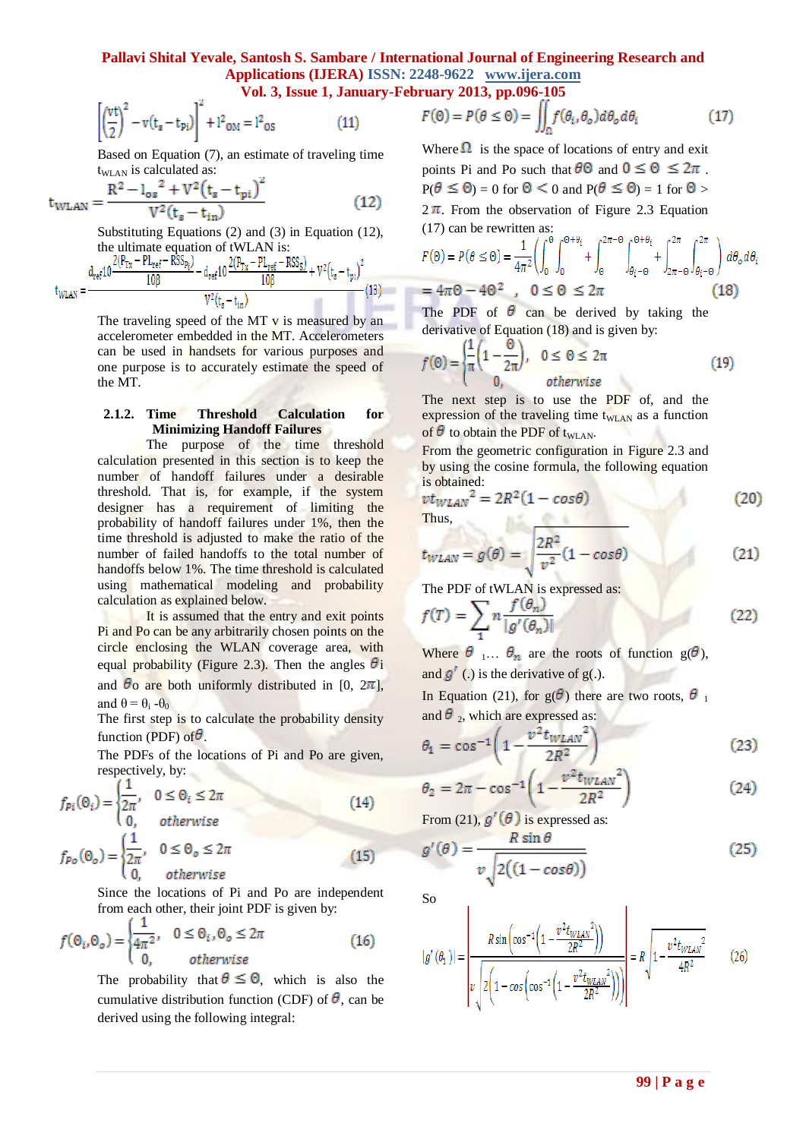÷.

$$
\left(\frac{vt}{2}\right)^2 - v(t_s - t_{pi})\right)^2 + l^2_{OM} = l^2_{OS}
$$
 (11)

Based on Equation (7), an estimate of traveling time  $t_{\text{WLAN}}$  is calculated as:

$$
t_{\text{WLAN}} = \frac{R^2 - l_{\text{os}}^2 + V^2 (t_{\text{s}} - t_{\text{pi}})^2}{V^2 (t_{\text{s}} - t_{\text{in}})}
$$
(12)

Substituting Equations (2) and (3) in Equation (12), the ultimate equation of tWLAN is:<br> $2(P_{\text{max}} - P_{\text{max}} - RSS_{\text{max}})$   $2(P_{\text{max}} - RSS_{\text{max}})$ 

$$
t_{WLAN} = \frac{d_{ref}10 \frac{2(r_{Tx} - r_{Lref} - r_{D3}p_{i})}{10\beta} - d_{ref}10 \frac{2(r_{Tx} - r_{Lref} - r_{D3}p_{s})}{10\beta} + V^{2}(t_{s} - t_{pi})^{2}}{V^{2}(t_{s} - t_{in})}
$$
(13)

The traveling speed of the MT v is measured by an accelerometer embedded in the MT. Accelerometers can be used in handsets for various purposes and one purpose is to accurately estimate the speed of the MT.

## **2.1.2. Time Threshold Calculation for Minimizing Handoff Failures**

The purpose of the time threshold calculation presented in this section is to keep the number of handoff failures under a desirable threshold. That is, for example, if the system designer has a requirement of limiting the probability of handoff failures under 1%, then the time threshold is adjusted to make the ratio of the number of failed handoffs to the total number of handoffs below 1%. The time threshold is calculated using mathematical modeling and probability calculation as explained below.

It is assumed that the entry and exit points Pi and Po can be any arbitrarily chosen points on the circle enclosing the WLAN coverage area, with equal probability (Figure 2.3). Then the angles  $\theta_i$ and  $\theta$ <sup>o</sup> are both uniformly distributed in [0,  $2\pi$ ], and  $\theta = \theta_i - \theta_0$ 

The first step is to calculate the probability density function (PDF) of  $\theta$ .

The PDFs of the locations of Pi and Po are given, respectively, by:

$$
f_{Pi}(\Theta_i) = \begin{cases} \frac{1}{2\pi}, & 0 \le \Theta_i \le 2\pi \\ 0, & otherwise \end{cases}
$$
(14)  

$$
f_{Po}(\Theta_o) = \begin{cases} \frac{1}{2\pi}, & 0 \le \Theta_o \le 2\pi \\ 0, & otherwise \end{cases}
$$
(15)

Since the locations of Pi and Po are independent from each other, their joint PDF is given by:

$$
f(\Theta_i, \Theta_o) = \begin{cases} \frac{1}{4\pi^2}, & 0 \le \Theta_i, \Theta_o \le 2\pi \\ 0, & otherwise \end{cases}
$$
 (16)

The probability that  $\theta \leq \Theta$ , which is also the cumulative distribution function (CDF) of  $\theta$ , can be derived using the following integral:

$$
F(\Theta) = P(\theta \le \Theta) = \iint_{\Omega} f(\theta_i, \theta_o) d\theta_o d\theta_i \tag{17}
$$

Where  $\Omega$  is the space of locations of entry and exit points Pi and Po such that  $\theta \Theta$  and  $0 \le \Theta \le 2\pi$ .  $P(\theta \leq \theta) = 0$  for  $\theta \leq 0$  and  $P(\theta \leq \theta) = 1$  for  $\theta > 0$  $2\pi$ . From the observation of Figure 2.3 Equation (17) can be rewritten as:

$$
F(\Theta) = P(\theta \le \Theta) = \frac{1}{4\pi^2} \left( \int_0^{\Theta} \int_0^{\Theta + \theta_i} + \int_{\Theta}^{2\pi - \Theta} \int_{\theta_i - \Theta}^{\Theta + \theta_i} + \int_{2\pi - \Theta}^{2\pi} \int_{\theta_i - \Theta}^{2\pi} \right) d\theta_o d\theta_i
$$
  
=  $4\pi\Theta - 4\Theta^2$ ,  $0 \le \Theta \le 2\pi$  (18)

The PDF of  $\theta$  can be derived by taking the derivative of Equation (18) and is given by:

$$
f(\Theta) = \begin{cases} \frac{1}{\pi} \left( 1 - \frac{\Theta}{2\pi} \right), & 0 \le \Theta \le 2\pi \\ 0, & otherwise \end{cases}
$$
(19)

The next step is to use the PDF of, and the expression of the traveling time  $t_{\text{WLAN}}$  as a function of  $\theta$  to obtain the PDF of t<sub>WLAN</sub>.

From the geometric configuration in Figure 2.3 and by using the cosine formula, the following equation is obtained:

$$
\frac{vt_{WLAN}^2}{v_{HMS}} = 2R^2(1 - \cos\theta) \tag{20}
$$

$$
t_{WLAN} = g(\theta) = \sqrt{\frac{2R^2}{v^2} (1 - \cos \theta)}
$$
 (21)

The PDF of tWLAN is expressed as:

$$
f(T) = \sum_{n} n \frac{f(\theta_n)}{|g'(\theta_n)|} \tag{22}
$$

Where  $\theta_1 \dots \theta_n$  are the roots of function  $g(\theta)$ , and  $g'$  (.) is the derivative of g(.).

In Equation (21), for  $g(\theta)$  there are two roots,  $\theta_1$ and  $\theta_2$ , which are expressed as:

$$
\theta_1 = \cos^{-1}\left(1 - \frac{v^2 t_{WLAN}^2}{2R^2}\right) \tag{23}
$$

$$
\theta_2 = 2\pi - \cos^{-1}\left(1 - \frac{v^2 t_{WLAN}^2}{2R^2}\right) \tag{24}
$$

From (21),  $g'(\theta)$  is expressed as:

$$
(\theta) = \frac{R \sin \theta}{v \sqrt{2((1 - \cos \theta))}}
$$
(25)

Ï

So

 $g'$ 

$$
g'( \theta_1 ) | = \left| \frac{R \sin \left( \cos^{-1} \left( 1 - \frac{v^2 t_{WLAN}^2}{2R^2} \right) \right)}{v \sqrt{2 \left( 1 - \cos \left( \cos^{-1} \left( 1 - \frac{v^2 t_{WLAN}^2}{2R^2} \right) \right) \right)}} \right| = R \sqrt{1 - \frac{v^2 t_{WLAN}^2}{4R^2}}
$$
(26)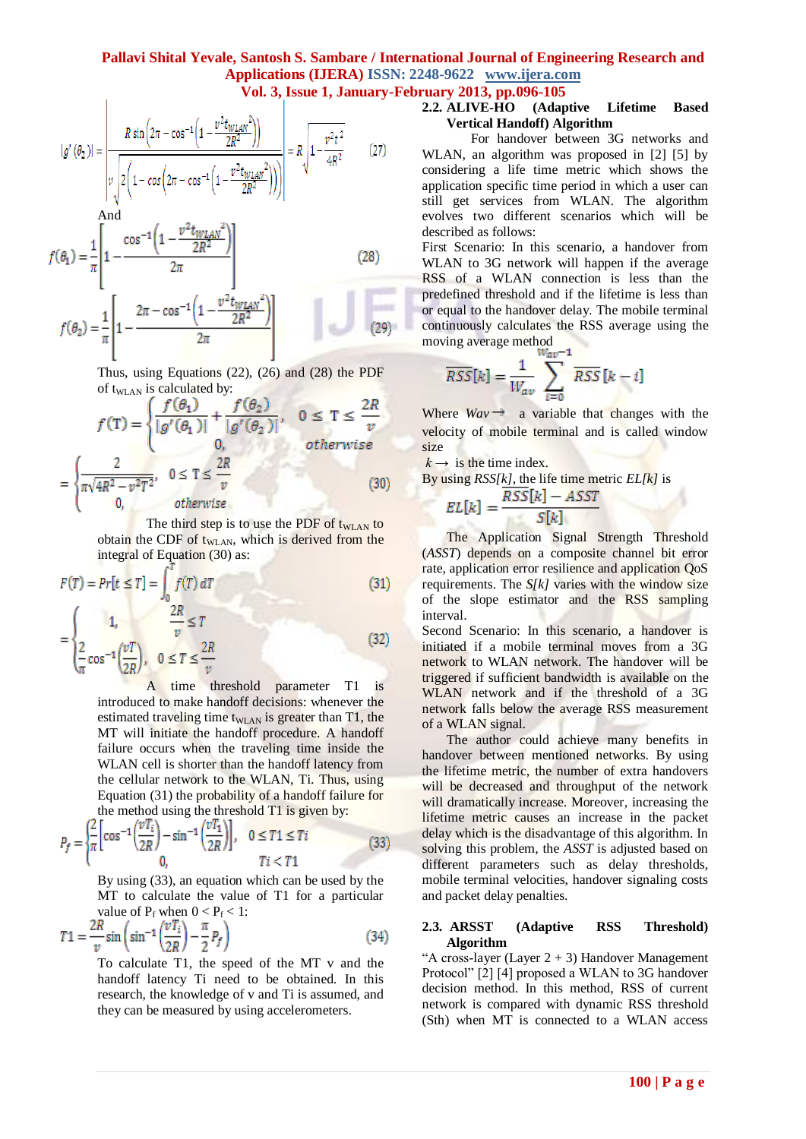$$
\begin{array}{c}\n\text{?} \quad \text{?} \quad \text{?} \quad \text{?} \quad \text{?} \quad \text{?} \quad \text{?} \quad \text{?} \quad \text{?} \quad \text{?} \quad \text{?} \quad \text{?} \quad \text{?} \quad \text{?} \quad \text{?} \quad \text{?} \quad \text{?} \quad \text{?} \quad \text{?} \quad \text{?} \quad \text{?} \quad \text{?} \quad \text{?} \quad \text{?} \quad \text{?} \quad \text{?} \quad \text{?} \quad \text{?} \quad \text{?} \quad \text{?} \quad \text{?} \quad \text{?} \quad \text{?} \quad \text{?} \quad \text{?} \quad \text{?} \quad \text{?} \quad \text{?} \quad \text{?} \quad \text{?} \quad \text{?} \quad \text{?} \quad \text{?} \quad \text{?} \quad \text{?} \quad \text{?} \quad \text{?} \quad \text{?} \quad \text{?} \quad \text{?} \quad \text{?} \quad \text{?} \quad \text{?} \quad \text{?} \quad \text{?} \quad \text{?} \quad \text{?} \quad \text{?} \quad \text{?} \quad \text{?} \quad \text{?} \quad \text{?} \quad \text{?} \quad \text{?} \quad \text{?} \quad \text{?} \quad \text{?} \quad \text{?} \quad \text{?} \quad \text{?} \quad \text{?} \quad \text{?} \quad \text{?} \quad \text{?} \quad \text{?} \quad \text{?} \quad \text{?} \quad \text{?} \quad \text{?} \quad \text{?} \quad \text{?} \quad \text{?} \quad \text{?} \quad \text{?} \quad \text{?} \quad \text{?} \quad \text{?} \quad \text{?} \quad \text{?} \quad \text{?} \quad \text{?} \quad \text{?} \quad \text{?} \quad \text{?} \quad \text{?} \quad \text{?} \quad \text{?} \quad \text{?} \quad \text{?} \quad \text{?} \quad \text{?} \quad \text{?} \quad \text{?} \quad \text{?} \quad \text{?} \quad \text{?} \quad \text{?} \quad \text{
$$

$$
|g'(\theta_2)| = \left| \frac{R \sin\left(2\pi - \cos^{-1}\left(1 - \frac{v^2 t_{WLAN}^2}{2R^2}\right)\right)}{v \sqrt{2\left(1 - \cos\left(2\pi - \cos^{-1}\left(1 - \frac{v^2 t_{WLAN}^2}{2R^2}\right)\right)\right)}} \right| = R \sqrt{1 - \frac{v^2 t^2}{4R^2}}
$$
(27)

And  
\n
$$
f(\theta_1) = \frac{1}{\pi} \left[ 1 - \frac{\cos^{-1} \left( 1 - \frac{v^2 t_{WLAN}^2}{2R^2} \right)}{2\pi} \right]
$$
\n
$$
f(\theta_2) = \frac{1}{\pi} \left[ 1 - \frac{2\pi - \cos^{-1} \left( 1 - \frac{v^2 t_{WLAN}^2}{2R^2} \right)}{2\pi} \right]
$$
\n(28)

Thus, using Equations (22), (26) and (28) the PDF of  $t_{\text{WLAN}}$  is calculated by:

$$
f(\mathbf{T}) = \begin{cases} \frac{f(\theta_1)}{|g'(\theta_1)|} + \frac{f(\theta_2)}{|g'(\theta_2)|}, & 0 \le \mathbf{T} \le \frac{2R}{v} \\ 0, & otherwise \end{cases}
$$

$$
= \begin{cases} \frac{2}{\pi\sqrt{4R^2 - v^2T^2}}, & 0 \le \mathbf{T} \le \frac{2R}{v} \\ 0, & otherwise \end{cases}
$$
(30)

The third step is to use the PDF of  $t_{\text{WLAN}}$  to obtain the CDF of  $t_{\text{WLAN}}$ , which is derived from the integral of Equation (30) as:

$$
F(T) = Pr[t \le T] = \int_0^{\infty} f(T) dT
$$
\n
$$
= \begin{cases}\n1, & \frac{2R}{v} \le T \\
\frac{2}{\pi} \cos^{-1} \left(\frac{vT}{2R}\right), & 0 \le T \le \frac{2R}{v}\n\end{cases}
$$
\n(31)

A time threshold parameter T1 is introduced to make handoff decisions: whenever the estimated traveling time t<sub>WLAN</sub> is greater than  $T1$ , the MT will initiate the handoff procedure. A handoff failure occurs when the traveling time inside the WLAN cell is shorter than the handoff latency from the cellular network to the WLAN, Ti. Thus, using Equation (31) the probability of a handoff failure for the method using the threshold T1 is given by:

$$
P_f = \begin{cases} \frac{2}{\pi} \Big[ \cos^{-1} \Big( \frac{vT_i}{2R} \Big) - \sin^{-1} \Big( \frac{vT_1}{2R} \Big) \Big], & 0 \le T1 \le Ti \\ 0, & Ti < T1 \end{cases}
$$
(33)

By using (33), an equation which can be used by the MT to calculate the value of T1 for a particular value of  $P_f$  when  $0 < P_f < 1$ :

$$
T1 = \frac{2R}{v}\sin\left(\sin^{-1}\left(\frac{vT_i}{2R}\right) - \frac{\pi}{2}P_f\right)
$$
(34)

To calculate T1, the speed of the MT v and the handoff latency Ti need to be obtained. In this research, the knowledge of v and Ti is assumed, and they can be measured by using accelerometers.

# **2.2. ALIVE-HO (Adaptive Lifetime Based Vertical Handoff) Algorithm**

For handover between 3G networks and WLAN, an algorithm was proposed in [2] [5] by considering a life time metric which shows the application specific time period in which a user can still get services from WLAN. The algorithm evolves two different scenarios which will be described as follows:

First Scenario: In this scenario, a handover from WLAN to 3G network will happen if the average RSS of a WLAN connection is less than the predefined threshold and if the lifetime is less than or equal to the handover delay. The mobile terminal continuously calculates the RSS average using the moving average method

$$
\overline{RSS}[k] = \frac{1}{W_{av}} \sum_{i=0}^{W_{av}-1} \overline{RSS}[k-i]
$$

Where  $Wav \rightarrow$  a variable that changes with the velocity of mobile terminal and is called window size

 $k \rightarrow$  is the time index.

By using 
$$
RSS[k]
$$
, the life time metric  $EL[k]$  is

$$
EL[k] = \frac{RSS[k] - ASS}{S[k]}
$$

The Application Signal Strength Threshold (*ASST*) depends on a composite channel bit error rate, application error resilience and application QoS requirements. The *S[k]* varies with the window size of the slope estimator and the RSS sampling interval.

Second Scenario: In this scenario, a handover is initiated if a mobile terminal moves from a 3G network to WLAN network. The handover will be triggered if sufficient bandwidth is available on the WLAN network and if the threshold of a 3G network falls below the average RSS measurement of a WLAN signal.

The author could achieve many benefits in handover between mentioned networks. By using the lifetime metric, the number of extra handovers will be decreased and throughput of the network will dramatically increase. Moreover, increasing the lifetime metric causes an increase in the packet delay which is the disadvantage of this algorithm. In solving this problem, the *ASST* is adjusted based on different parameters such as delay thresholds, mobile terminal velocities, handover signaling costs and packet delay penalties.

#### **2.3. ARSST (Adaptive RSS Threshold) Algorithm**

"A cross-layer (Layer  $2 + 3$ ) Handover Management Protocol" [2] [4] proposed a WLAN to 3G handover decision method. In this method, RSS of current network is compared with dynamic RSS threshold (Sth) when MT is connected to a WLAN access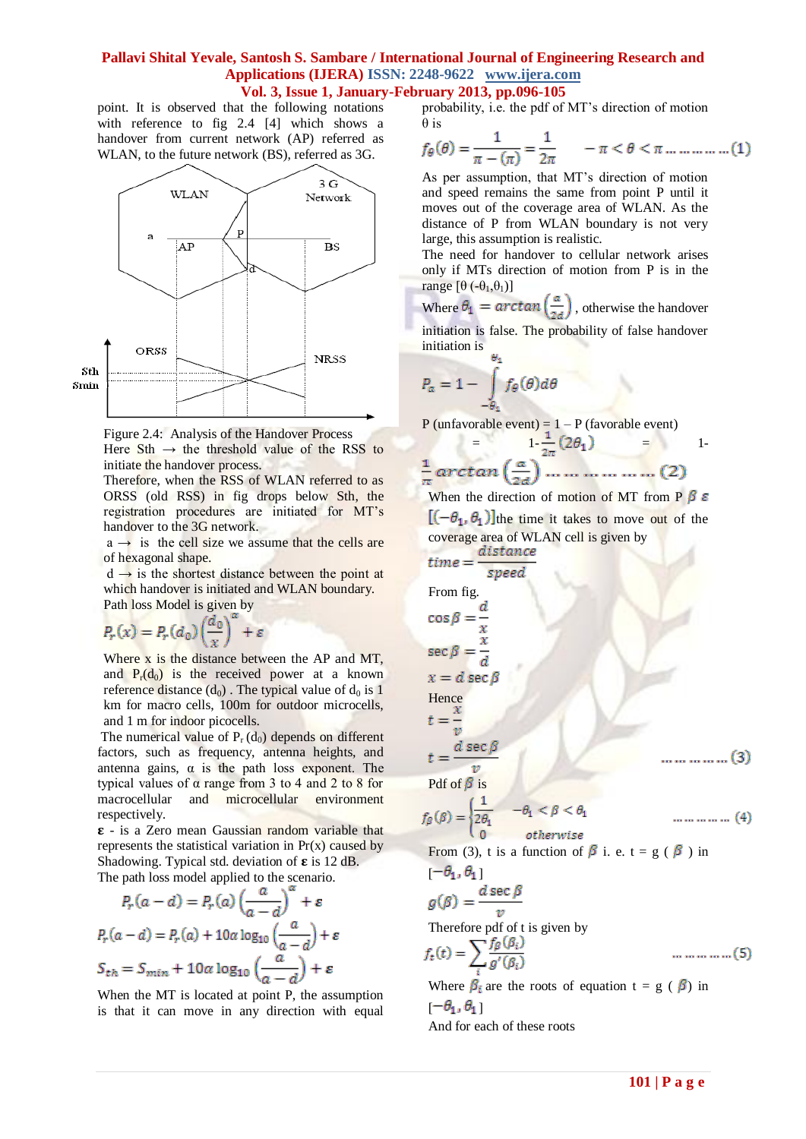**Vol. 3, Issue 1, January-February 2013, pp.096-105**

point. It is observed that the following notations with reference to fig 2.4 [4] which shows a handover from current network (AP) referred as WLAN, to the future network (BS), referred as 3G.



Figure 2.4: Analysis of the Handover Process Here Sth  $\rightarrow$  the threshold value of the RSS to initiate the handover process.

Therefore, when the RSS of WLAN referred to as ORSS (old RSS) in fig drops below Sth, the registration procedures are initiated for MT"s handover to the 3G network.

 $a \rightarrow$  is the cell size we assume that the cells are of hexagonal shape.

 $d \rightarrow$  is the shortest distance between the point at which handover is initiated and WLAN boundary. Path loss Model is given by

$$
P_r(x) = P_r(d_0) \left(\frac{d_0}{x}\right)^{\alpha} + \varepsilon
$$

Where x is the distance between the AP and MT, and  $P_r(d_0)$  is the received power at a known reference distance  $(d_0)$ . The typical value of  $d_0$  is 1 km for macro cells, 100m for outdoor microcells, and 1 m for indoor picocells.

The numerical value of  $P_r(d_0)$  depends on different factors, such as frequency, antenna heights, and antenna gains,  $\alpha$  is the path loss exponent. The typical values of  $\alpha$  range from 3 to 4 and 2 to 8 for macrocellular and microcellular environment respectively.

 $\epsilon$  - is a Zero mean Gaussian random variable that represents the statistical variation in  $Pr(x)$  caused by Shadowing. Typical std. deviation of  $\epsilon$  is 12 dB. The path loss model applied to the scenario.

$$
P_r(a-d) = P_r(a) \left(\frac{a}{a-d}\right)^a + \varepsilon
$$
  

$$
P_r(a-d) = P_r(a) + 10a \log_{10} \left(\frac{a}{a-d}\right) + \varepsilon
$$
  

$$
S_{th} = S_{min} + 10a \log_{10} \left(\frac{a}{a-d}\right) + \varepsilon
$$

When the MT is located at point P, the assumption is that it can move in any direction with equal probability, i.e. the pdf of MT"s direction of motion θ is

$$
f_{\theta}(\theta) = \frac{1}{\pi - (\pi)} = \frac{1}{2\pi} \qquad -\pi < \theta < \pi \dots \dots \dots \dots (1)
$$

As per assumption, that MT"s direction of motion and speed remains the same from point P until it moves out of the coverage area of WLAN. As the distance of P from WLAN boundary is not very large, this assumption is realistic.

The need for handover to cellular network arises only if MTs direction of motion from P is in the range  $[\theta(-\theta_1,\theta_1)]$ 

Where  $\theta_1 = \arctan\left(\frac{a}{2d}\right)$ , otherwise the handover

initiation is false. The probability of false handover initiation is

$$
P_{\alpha} = 1 - \int_{-\theta_4} f_{\theta}(\theta) d\theta
$$

P (unfavorable event) =  $1 - P$  (favorable event)

$$
= \frac{1\cdot\frac{1}{2\pi}(2\theta_1)}{\frac{1}{\pi}\arctan\left(\frac{a}{2a}\right)\dots\dots\dots\dots\dots\dots}(2)
$$

When the direction of motion of MT from P  $\beta \varepsilon$  $[(-\theta_1, \theta_1)]$ the time it takes to move out of the coverage area of WLAN cell is given by

time = 
$$
\frac{distance}{speed}
$$
  
\nFrom fig.  
\n $cos \beta = \frac{d}{x}$   
\n $sec \beta = \frac{x}{d}$   
\n $x = d sec \beta$   
\nHence  
\n $t = \frac{x}{v}$   
\n $t = \frac{d sec \beta}{v}$   
\n $cf_{\beta}(s) = \begin{cases} \frac{1}{2\theta_1} & -\theta_1 < \beta < \theta_1 \\ \frac{1}{2\theta_1} & -\theta_1 < \beta < \theta_1 \\ 0 & otherwise \end{cases}$ ................. (3)  
\n $cf_{\beta}(s) = \begin{cases} \frac{1}{2\theta_1} & -\theta_1 < \beta < \theta_1 \\ \frac{1}{2\theta_1} & where \theta_1 \neq 0 \end{cases}$ ................. (4)  
\n $cf_{\beta}(s) = \frac{d sec \beta}{v}$   
\nTherefore pdf of t is given by  
\n $f_t(t) = \sum_i \frac{f_{\beta}(\beta_i)}{g'(\beta_i)}$ ................. (5)  
\nWhere  $\beta_i$  are the roots of equation  $t = g(\beta_i)$  in

Where  $\beta_i$  are the roots of equation t = g ( $\beta$ ) in  $[-\theta_1, \theta_1]$ And for each of these roots

 $\Gamma$ 

fβ

t

s  $\chi$ 

f.

t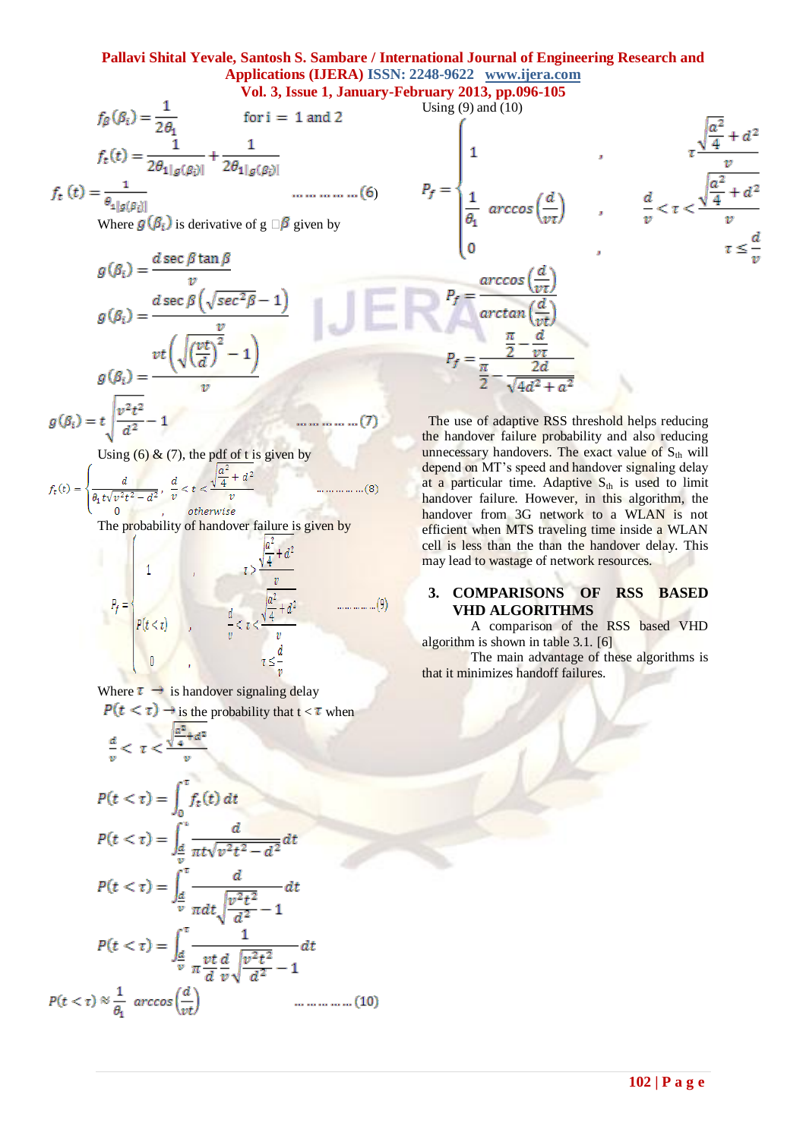**Vol. 3, Issue 1, January-February 2013, pp.096-105**

$$
f_{\beta}(\beta_i) = \frac{1}{2\theta_1} \quad \text{for } i = 1 \text{ and } 2
$$
\n
$$
f_t(t) = \frac{1}{2\theta_1|g(\beta_i)|} + \frac{1}{2\theta_1|g(\beta_i)|}
$$
\n
$$
f_t(t) = \frac{1}{\theta_1|g(\beta_i)|} \quad \text{............ (6)}
$$
\n
$$
P_f = \begin{cases}\n1 & , & \frac{\sqrt{a^2} + d^2}{v} \\
1 & , & \frac{v}{v} \\
\frac{1}{\theta_1} \arccos\left(\frac{d}{vt}\right) & , & \frac{d}{v} < \tau < \frac{\sqrt{a^2} + d^2}{v} \\
0 & , & \frac{v}{v} < \tau < \frac{\sqrt{a^2} + d^2}{v} \\
0 & , & \tau \leq \frac{d}{v} \\
0 & , & \tau \leq \frac{d}{v} \\
0 & , & \tau \leq \frac{d}{v} \\
0 & , & \tau \leq \frac{d}{v} \\
0 & , & \tau \leq \frac{d}{v} \\
0 & , & \tau \leq \frac{d}{v} \\
0 & , & \tau \leq \frac{d}{v} \\
0 & , & \tau \leq \frac{d}{v} \\
0 & , & \tau \leq \frac{d}{v} \\
0 & , & \tau \leq \frac{d}{v} \\
0 & , & \tau \leq \frac{d}{v} \\
0 & , & \tau \leq \frac{d}{v} \\
0 & , & \tau \leq \frac{d}{v} \\
0 & , & \tau \leq \frac{d}{v} \\
0 & , & \tau \leq \frac{d}{v} \\
0 & , & \tau \leq \frac{d}{v} \\
0 & , & \tau \leq \frac{d}{v} \\
0 & , & \tau \leq \frac{d}{v} \\
0 & , & \tau \leq \frac{d}{v} \\
0 & , & \tau \leq \frac{d}{v} \\
0 & , & \tau \leq \frac{d}{v} \\
0 & , & \tau \leq \frac{d}{v} \\
0 & , & \tau \leq \frac{d}{v} \\
0 & , & \tau \leq \frac{d}{v} \\
0 & , & \tau \leq \frac{d}{v} \\
0 & , & \tau \leq \frac{d}{v} \\
0 & , & \tau \leq \frac{d}{v} \\
0 & , & \tau \leq \frac{d}{v} \\
0 & , & \tau \
$$

... ... ... ... ... (7)

$$
(\beta_i) = t \sqrt{\frac{v^2 t^2}{d^2} - 1}
$$

 $\mathcal{G}$ 

Using  $(6)$  &  $(7)$ , the pdf of t is given by

 $+ d^2$  $f_t(t) =$  $\dots(8)$  $\overline{v}$ otherwise

The probability of handover failure is given by

$$
P_f = \begin{cases} 1 & , & \tau > \frac{\sqrt{\frac{a^2}{4} + d^2}}{v} \\ p(t < \tau) & , & \frac{d}{v} < \tau < \frac{\sqrt{\frac{a^2}{4} + d^2}}{v} \\ 0 & , & \tau \le \frac{d}{v} \end{cases}
$$
 (9)

Where  $\tau \rightarrow$  is handover signaling delay

 $P(t < \tau) \rightarrow$  is the probability that  $t < \tau$  when

$$
\frac{d}{v} < \tau < \frac{\sqrt{\frac{u}{4} + d^2}}{v}
$$

The use of adaptive RSS threshold helps reducing the handover failure probability and also reducing unnecessary handovers. The exact value of  $S_{th}$  will depend on MT's speed and handover signaling delay at a particular time. Adaptive  $S_{th}$  is used to limit handover failure. However, in this algorithm, the handover from 3G network to a WLAN is not efficient when MTS traveling time inside a WLAN cell is less than the than the handover delay. This may lead to wastage of network resources.

## **3. COMPARISONS OF RSS BASED VHD ALGORITHMS**

A comparison of the RSS based VHD algorithm is shown in table 3.1. [6]

The main advantage of these algorithms is that it minimizes handoff failures.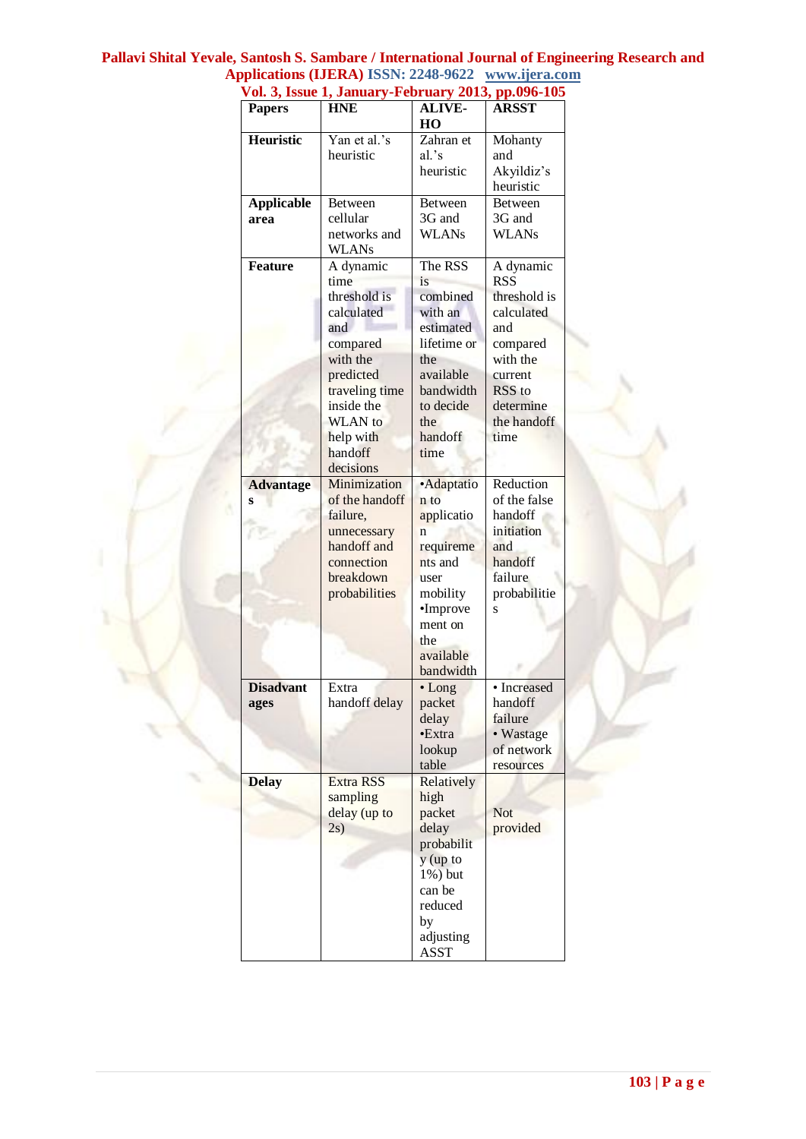| <b>Papers</b>     | v 01. 3, issue 1, January-February 2013, pp.090-103<br><b>HNE</b> | <b>ALIVE-</b>           | <b>ARSST</b>   |
|-------------------|-------------------------------------------------------------------|-------------------------|----------------|
|                   |                                                                   | HO                      |                |
| Heuristic         | Yan et al.'s                                                      | Zahran et               | Mohanty        |
|                   | heuristic                                                         | al.'s                   | and            |
|                   |                                                                   | heuristic               | Akyildiz's     |
|                   |                                                                   |                         | heuristic      |
| <b>Applicable</b> | Between                                                           | <b>Between</b>          | <b>Between</b> |
| area              | cellular                                                          | 3G and                  | 3G and         |
|                   | networks and                                                      | <b>WLANs</b>            | <b>WLANs</b>   |
|                   | WLANs                                                             |                         |                |
| <b>Feature</b>    | A dynamic                                                         | The RSS                 | A dynamic      |
|                   | time                                                              | is                      | <b>RSS</b>     |
|                   | threshold is                                                      | combined                | threshold is   |
|                   | calculated                                                        | with an                 | calculated     |
|                   | and                                                               | estimated               | and            |
|                   | compared                                                          | lifetime or             | compared       |
|                   | with the                                                          | the                     | with the       |
|                   | predicted                                                         | available               | current        |
|                   | traveling time                                                    | bandwidth               | RSS to         |
|                   | inside the                                                        | to decide               | determine      |
|                   | <b>WLAN</b> to                                                    | the                     | the handoff    |
|                   | help with                                                         | handoff                 | time           |
|                   | handoff                                                           | time                    |                |
|                   | decisions                                                         |                         |                |
| <b>Advantage</b>  | Minimization                                                      | ·Adaptatio              | Reduction      |
| S                 | of the handoff                                                    | n to                    | of the false   |
|                   | failure,                                                          | applicatio              | handoff        |
|                   | unnecessary                                                       | $\overline{\mathsf{n}}$ | initiation     |
|                   | handoff and                                                       | requireme               | and            |
|                   | connection                                                        | nts and                 | handoff        |
|                   | breakdown                                                         | user                    | failure        |
|                   | probabilities                                                     | mobility                | probabilitie   |
|                   |                                                                   | •Improve                | S              |
|                   |                                                                   | ment on                 |                |
|                   |                                                                   | the                     |                |
|                   |                                                                   | available               |                |
|                   |                                                                   | bandwidth               |                |
| <b>Disadvant</b>  | Extra                                                             | $\cdot$ Long            | • Increased    |
| ages              | handoff delay                                                     | packet                  | handoff        |
|                   |                                                                   | delay                   | failure        |
|                   |                                                                   | •Extra                  | • Wastage      |
|                   |                                                                   | lookup                  | of network     |
|                   |                                                                   | table                   | resources      |
| <b>Delay</b>      | <b>Extra RSS</b>                                                  | Relatively              |                |
|                   | sampling                                                          | high                    |                |
|                   | delay (up to                                                      | packet                  | <b>Not</b>     |
|                   | 2s)                                                               | delay                   | provided       |
|                   |                                                                   | probabilit              |                |
|                   |                                                                   | $y$ (up to              |                |
|                   |                                                                   |                         |                |
|                   |                                                                   | 1%) but                 |                |
|                   |                                                                   | can be                  |                |
|                   |                                                                   | reduced                 |                |
|                   |                                                                   | by                      |                |
|                   |                                                                   | adjusting               |                |
|                   |                                                                   | <b>ASST</b>             |                |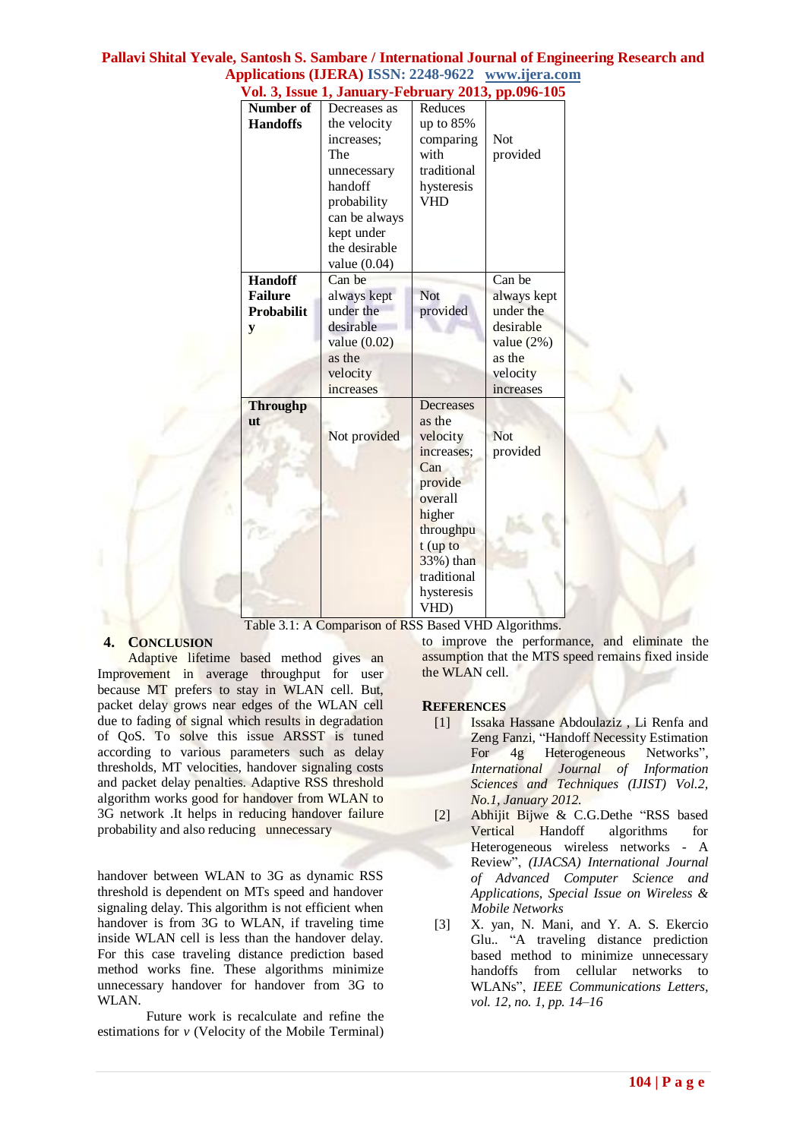| Number of         | Decreases as   | Reduces     |              |  |
|-------------------|----------------|-------------|--------------|--|
| <b>Handoffs</b>   | the velocity   | up to 85%   |              |  |
|                   | increases;     | comparing   | <b>Not</b>   |  |
|                   | The            | with        | provided     |  |
|                   | unnecessary    | traditional |              |  |
|                   | handoff        | hysteresis  |              |  |
|                   | probability    | VHD         |              |  |
|                   | can be always  |             |              |  |
|                   | kept under     |             |              |  |
|                   | the desirable  |             |              |  |
|                   | value $(0.04)$ |             |              |  |
| <b>Handoff</b>    | Can be         |             | Can be       |  |
| <b>Failure</b>    | always kept    | <b>Not</b>  | always kept  |  |
| <b>Probabilit</b> | under the      | provided    | under the    |  |
| y                 | desirable      |             | desirable    |  |
|                   | value $(0.02)$ |             | value $(2%)$ |  |
|                   | as the         |             | as the       |  |
|                   | velocity       |             | velocity     |  |
|                   | increases      |             | increases    |  |
|                   |                | Decreases   |              |  |
| <b>Throughp</b>   |                |             |              |  |
| ut                |                | as the      |              |  |
|                   | Not provided   | velocity    | <b>Not</b>   |  |
|                   |                | increases;  | provided     |  |
|                   |                | Can         |              |  |
|                   |                | provide     |              |  |
|                   |                | overall     |              |  |
|                   |                | higher      |              |  |
|                   |                | throughpu   |              |  |
|                   |                | $t$ (up to  |              |  |
|                   |                | 33%) than   |              |  |
|                   |                | traditional |              |  |
|                   |                | hysteresis  |              |  |
|                   |                | VHD)        |              |  |

**Vol. 3, Issue 1, January-February 2013, pp.096-105**

Table 3.1: A Comparison of RSS Based VHD Algorithms.

# **4. CONCLUSION**

Adaptive lifetime based method gives an Improvement in average throughput for user because MT prefers to stay in WLAN cell. But, packet delay grows near edges of the WLAN cell due to fading of signal which results in degradation of QoS. To solve this issue ARSST is tuned according to various parameters such as delay thresholds, MT velocities, handover signaling costs and packet delay penalties. Adaptive RSS threshold algorithm works good for handover from WLAN to 3G network .It helps in reducing handover failure probability and also reducing unnecessary

handover between WLAN to 3G as dynamic RSS threshold is dependent on MTs speed and handover signaling delay. This algorithm is not efficient when handover is from 3G to WLAN, if traveling time inside WLAN cell is less than the handover delay. For this case traveling distance prediction based method works fine. These algorithms minimize unnecessary handover for handover from 3G to WLAN.

Future work is recalculate and refine the estimations for *v* (Velocity of the Mobile Terminal) to improve the performance, and eliminate the assumption that the MTS speed remains fixed inside the WLAN cell.

## **REFERENCES**

- [1] Issaka Hassane Abdoulaziz , Li Renfa and Zeng Fanzi, "Handoff Necessity Estimation<br>For 4g Heterogeneous Networks", 4g Heterogeneous Networks", *International Journal of Information Sciences and Techniques (IJIST) Vol.2, No.1, January 2012.*
- [2] Abhijit Bijwe & C.G.Dethe "RSS based Vertical Handoff algorithms for Heterogeneous wireless networks - A Review", *(IJACSA) International Journal of Advanced Computer Science and Applications, Special Issue on Wireless & Mobile Networks*
- [3] X. yan, N. Mani, and Y. A. S. Ekercio Glu.. "A traveling distance prediction based method to minimize unnecessary handoffs from cellular networks to WLANs", *IEEE Communications Letters, vol. 12, no. 1, pp. 14–16*